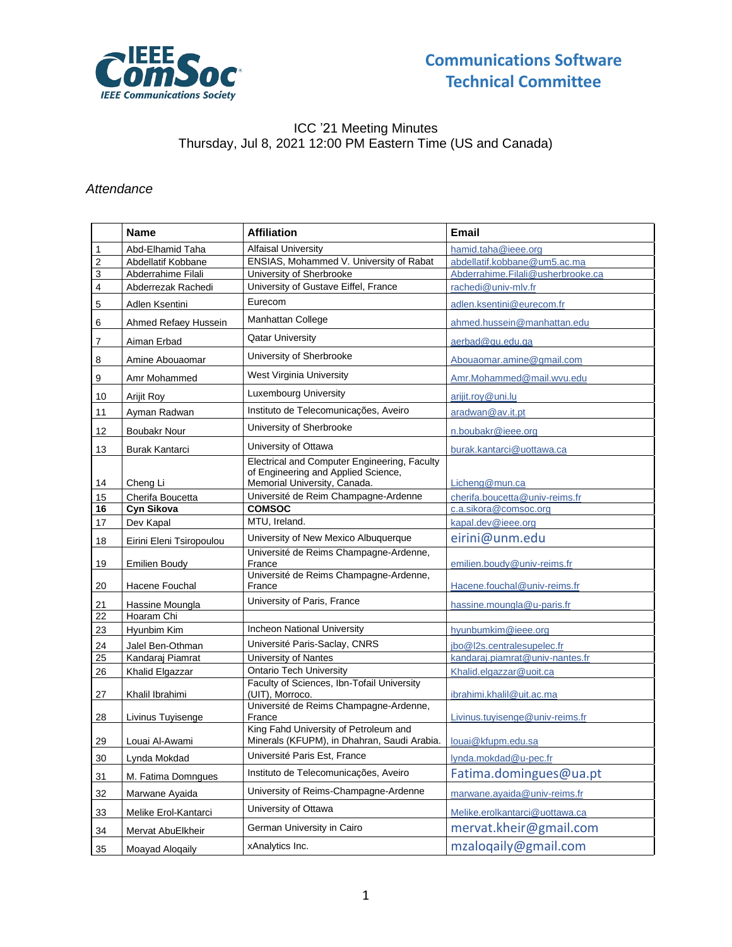

### ICC '21 Meeting Minutes Thursday, Jul 8, 2021 12:00 PM Eastern Time (US and Canada)

#### *Attendance*

|                         | <b>Name</b>              | <b>Affiliation</b>                                                                                                  | <b>Email</b>                      |  |  |  |
|-------------------------|--------------------------|---------------------------------------------------------------------------------------------------------------------|-----------------------------------|--|--|--|
| 1                       | Abd-Elhamid Taha         | <b>Alfaisal University</b>                                                                                          | hamid.taha@ieee.org               |  |  |  |
| $\overline{\mathbf{c}}$ | Abdellatif Kobbane       | ENSIAS, Mohammed V. University of Rabat                                                                             | abdellatif.kobbane@um5.ac.ma      |  |  |  |
| 3                       | Abderrahime Filali       | University of Sherbrooke                                                                                            | Abderrahime.Filali@usherbrooke.ca |  |  |  |
| 4                       | Abderrezak Rachedi       | University of Gustave Eiffel, France                                                                                | rachedi@univ-mlv.fr               |  |  |  |
| 5                       | Adlen Ksentini           | Eurecom                                                                                                             | adlen.ksentini@eurecom.fr         |  |  |  |
| 6                       | Ahmed Refaey Hussein     | Manhattan College                                                                                                   | ahmed.hussein@manhattan.edu       |  |  |  |
| 7                       | Aiman Erbad              | <b>Qatar University</b>                                                                                             | aerbad@qu.edu.ga                  |  |  |  |
| 8                       | Amine Abouaomar          | University of Sherbrooke                                                                                            | Abouaomar.amine@gmail.com         |  |  |  |
| 9                       | Amr Mohammed             | West Virginia University                                                                                            | Amr.Mohammed@mail.wvu.edu         |  |  |  |
| 10                      | Arijit Roy               | <b>Luxembourg University</b>                                                                                        | arijit.roy@uni.lu                 |  |  |  |
| 11                      | Ayman Radwan             | Instituto de Telecomunicações, Aveiro                                                                               | aradwan@av.it.pt                  |  |  |  |
| 12                      | <b>Boubakr Nour</b>      | University of Sherbrooke                                                                                            | n.boubakr@ieee.org                |  |  |  |
| 13                      | <b>Burak Kantarci</b>    | University of Ottawa                                                                                                | burak.kantarci@uottawa.ca         |  |  |  |
| 14                      | Cheng Li                 | Electrical and Computer Engineering, Faculty<br>of Engineering and Applied Science,<br>Memorial University, Canada. | Licheng@mun.ca                    |  |  |  |
| 15                      | Cherifa Boucetta         | Université de Reim Champagne-Ardenne                                                                                | cherifa.boucetta@univ-reims.fr    |  |  |  |
| 16                      | Cyn Sikova               | <b>COMSOC</b>                                                                                                       | c.a.sikora@comsoc.org             |  |  |  |
| 17                      | Dev Kapal                | MTU, Ireland.                                                                                                       | kapal.dev@ieee.org                |  |  |  |
| 18                      | Eirini Eleni Tsiropoulou | University of New Mexico Albuquerque                                                                                | eirini@unm.edu                    |  |  |  |
| 19                      | <b>Emilien Boudy</b>     | Université de Reims Champagne-Ardenne,<br>France                                                                    | emilien.boudy@univ-reims.fr       |  |  |  |
| 20                      | Hacene Fouchal           | Université de Reims Champagne-Ardenne,<br>France                                                                    | Hacene.fouchal@univ-reims.fr      |  |  |  |
| 21                      | Hassine Moungla          | University of Paris, France                                                                                         | hassine.moungla@u-paris.fr        |  |  |  |
| 22                      | Hoaram Chi               |                                                                                                                     |                                   |  |  |  |
| 23                      | Hyunbim Kim              | Incheon National University                                                                                         | hyunbumkim@ieee.org               |  |  |  |
| 24                      | Jalel Ben-Othman         | Université Paris-Saclay, CNRS                                                                                       | jbo@l2s.centralesupelec.fr        |  |  |  |
| 25                      | Kandaraj Piamrat         | University of Nantes                                                                                                | kandaraj.piamrat@univ-nantes.fr   |  |  |  |
| 26                      | Khalid Elgazzar          | <b>Ontario Tech University</b>                                                                                      | Khalid.elgazzar@uoit.ca           |  |  |  |
| 27                      | Khalil Ibrahimi          | Faculty of Sciences, Ibn-Tofail University<br>(UIT), Morroco.                                                       | ibrahimi.khalil@uit.ac.ma         |  |  |  |
| 28                      | Livinus Tuyisenge        | Université de Reims Champagne-Ardenne,<br>France                                                                    | Livinus.tuyisenge@univ-reims.fr   |  |  |  |
| 29                      | Louai Al-Awami           | King Fahd University of Petroleum and<br>Minerals (KFUPM), in Dhahran, Saudi Arabia.                                | louai@kfupm.edu.sa                |  |  |  |
| 30 <sub>o</sub>         | Lynda Mokdad             | Université Paris Est, France                                                                                        | lynda.mokdad@u-pec.fr             |  |  |  |
| 31                      | M. Fatima Domngues       | Instituto de Telecomunicações, Aveiro                                                                               | Fatima.domingues@ua.pt            |  |  |  |
| 32                      | Marwane Ayaida           | University of Reims-Champagne-Ardenne                                                                               | marwane.ayaida@univ-reims.fr      |  |  |  |
| 33                      | Melike Erol-Kantarci     | University of Ottawa                                                                                                | Melike.erolkantarci@uottawa.ca    |  |  |  |
| 34                      | Mervat AbuElkheir        | German University in Cairo                                                                                          | mervat.kheir@gmail.com            |  |  |  |
| 35                      | Moayad Aloqaily          | xAnalytics Inc.                                                                                                     | mzaloqaily@gmail.com              |  |  |  |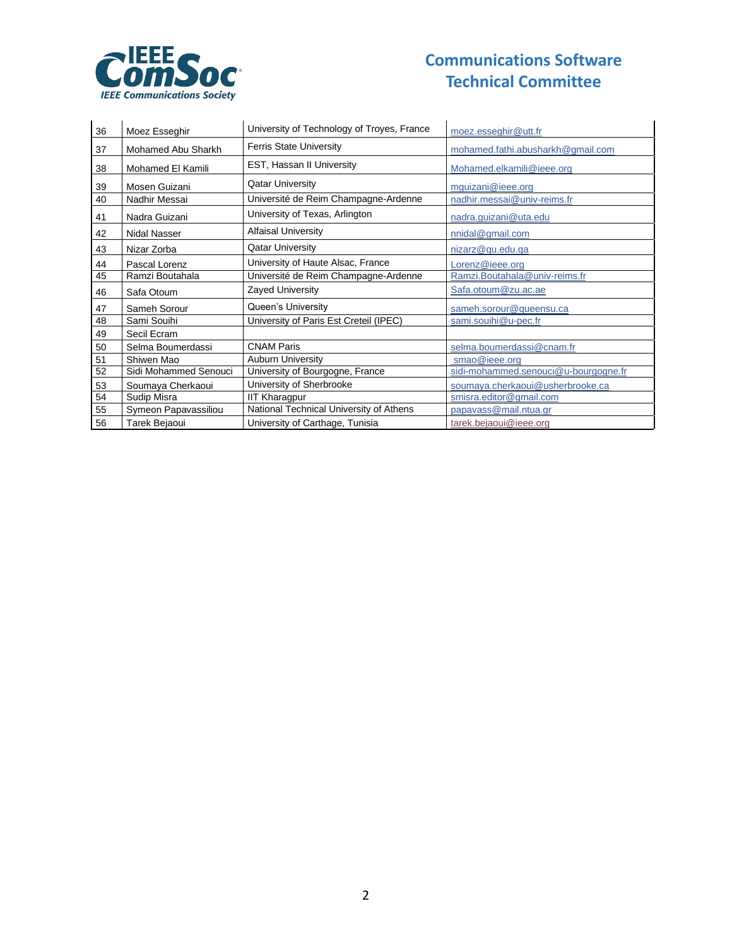

# **Communications Software Technical Committee**

| 36 | Moez Esseghir         | University of Technology of Troyes, France | moez.esseghir@utt.fr                 |  |  |  |
|----|-----------------------|--------------------------------------------|--------------------------------------|--|--|--|
| 37 | Mohamed Abu Sharkh    | <b>Ferris State University</b>             | mohamed.fathi.abusharkh@gmail.com    |  |  |  |
| 38 | Mohamed El Kamili     | EST, Hassan II University                  | Mohamed.elkamili@ieee.org            |  |  |  |
| 39 | Mosen Guizani         | <b>Qatar University</b>                    | mquizani@ieee.org                    |  |  |  |
| 40 | Nadhir Messai         | Université de Reim Champagne-Ardenne       | nadhir.messai@univ-reims.fr          |  |  |  |
| 41 | Nadra Guizani         | University of Texas, Arlington             | nadra.guizani@uta.edu                |  |  |  |
| 42 | Nidal Nasser          | <b>Alfaisal University</b>                 | nnidal@gmail.com                     |  |  |  |
| 43 | Nizar Zorba           | <b>Qatar University</b>                    | nizarz@qu.edu.qa                     |  |  |  |
| 44 | Pascal Lorenz         | University of Haute Alsac, France          | Lorenz@ieee.org                      |  |  |  |
| 45 | Ramzi Boutahala       | Université de Reim Champagne-Ardenne       | Ramzi.Boutahala@univ-reims.fr        |  |  |  |
| 46 | Safa Otoum            | <b>Zayed University</b>                    | Safa.otoum@zu.ac.ae                  |  |  |  |
| 47 | Sameh Sorour          | Queen's University                         | sameh.sorour@queensu.ca              |  |  |  |
| 48 | Sami Souihi           | University of Paris Est Creteil (IPEC)     | sami.souihi@u-pec.fr                 |  |  |  |
| 49 | Secil Ecram           |                                            |                                      |  |  |  |
| 50 | Selma Boumerdassi     | <b>CNAM Paris</b>                          | selma.boumerdassi@cnam.fr            |  |  |  |
| 51 | Shiwen Mao            | <b>Auburn University</b>                   | smao@ieee.org                        |  |  |  |
| 52 | Sidi Mohammed Senouci | University of Bourgogne, France            | sidi-mohammed.senouci@u-bourgogne.fr |  |  |  |
| 53 | Soumaya Cherkaoui     | University of Sherbrooke                   | soumaya.cherkaoui@usherbrooke.ca     |  |  |  |
| 54 | Sudip Misra           | <b>IIT Kharagpur</b>                       | smisra.editor@gmail.com              |  |  |  |
| 55 | Symeon Papavassiliou  | National Technical University of Athens    | papavass@mail.ntua.gr                |  |  |  |
| 56 | Tarek Bejaoui         | University of Carthage, Tunisia            | tarek.bejaoui@ieee.org               |  |  |  |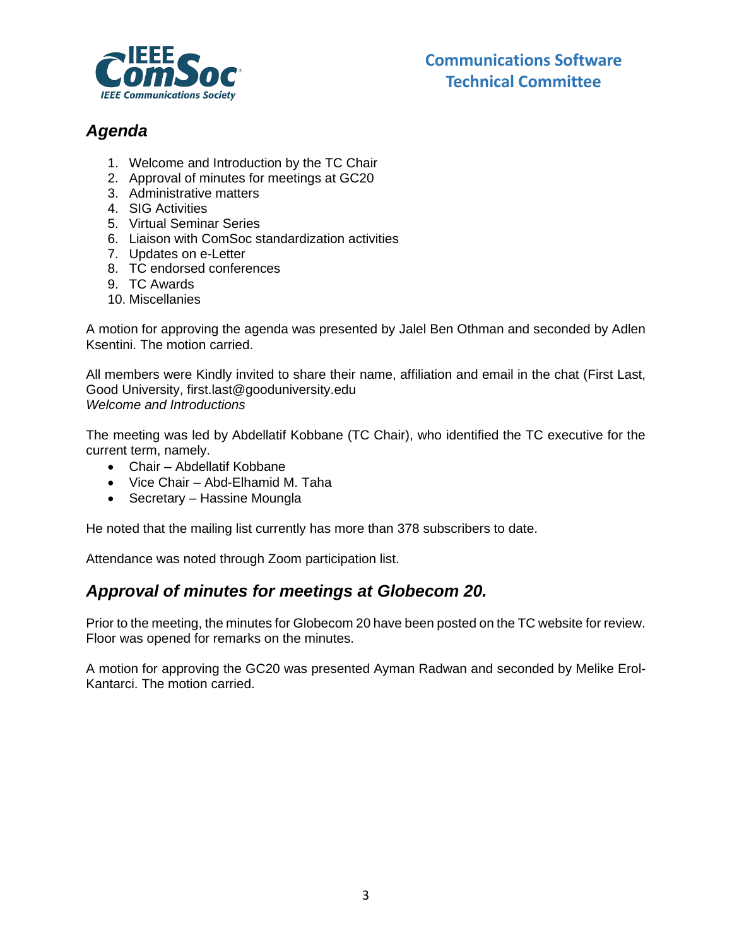

# *Agenda*

- 1. Welcome and Introduction by the TC Chair
- 2. Approval of minutes for meetings at GC20
- 3. Administrative matters
- 4. SIG Activities
- 5. Virtual Seminar Series
- 6. Liaison with ComSoc standardization activities
- 7. Updates on e-Letter
- 8. TC endorsed conferences
- 9. TC Awards
- 10. Miscellanies

A motion for approving the agenda was presented by Jalel Ben Othman and seconded by Adlen Ksentini. The motion carried.

All members were Kindly invited to share their name, affiliation and email in the chat (First Last, Good University, first.last@gooduniversity.edu *Welcome and Introductions*

The meeting was led by Abdellatif Kobbane (TC Chair), who identified the TC executive for the current term, namely.

- Chair Abdellatif Kobbane
- Vice Chair Abd-Elhamid M. Taha
- Secretary Hassine Moungla

He noted that the mailing list currently has more than 378 subscribers to date.

Attendance was noted through Zoom participation list.

## *Approval of minutes for meetings at Globecom 20.*

Prior to the meeting, the minutes for Globecom 20 have been posted on the TC website for review. Floor was opened for remarks on the minutes.

A motion for approving the GC20 was presented Ayman Radwan and seconded by Melike Erol-Kantarci. The motion carried.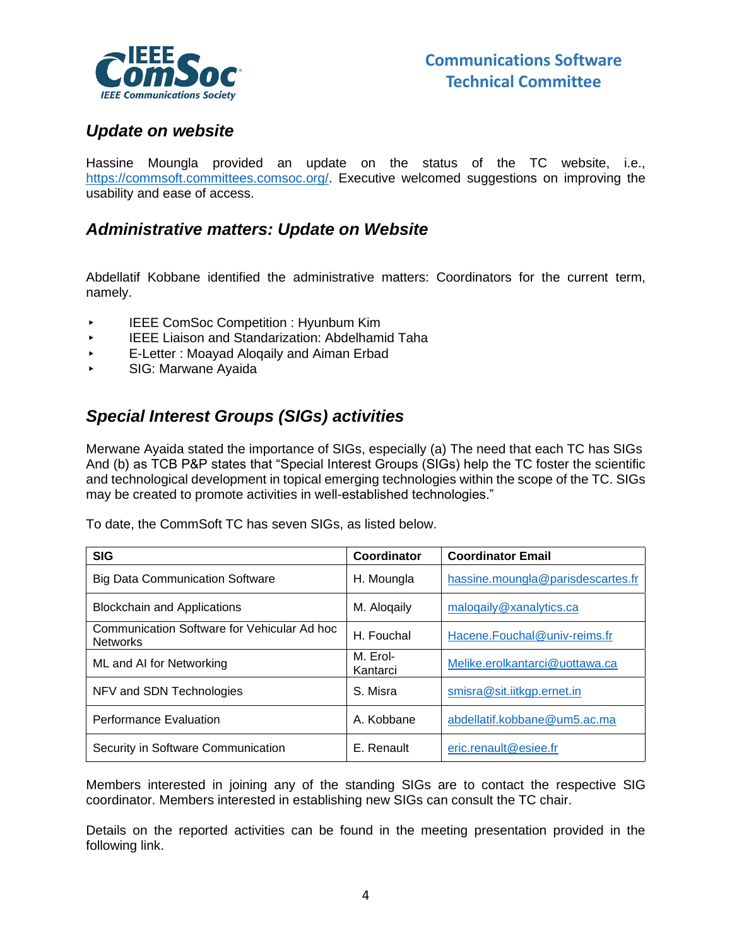

## *Update on website*

Hassine Moungla provided an update on the status of the TC website, i.e., [https://commsoft.committees.comsoc.org/.](https://commsoft.committees.comsoc.org/) Executive welcomed suggestions on improving the usability and ease of access.

### *Administrative matters: Update on Website*

Abdellatif Kobbane identified the administrative matters: Coordinators for the current term, namely.

- ▸ IEEE ComSoc Competition : Hyunbum Kim
- **IEEE Liaison and Standarization: Abdelhamid Taha**
- E-Letter: Moayad Alogaily and Aiman Erbad
- ▸ SIG: Marwane Ayaida

## *Special Interest Groups (SIGs) activities*

Merwane Ayaida stated the importance of SIGs, especially (a) The need that each TC has SIGs And (b) as TCB P&P states that "Special Interest Groups (SIGs) help the TC foster the scientific and technological development in topical emerging technologies within the scope of the TC. SIGs may be created to promote activities in well-established technologies."

To date, the CommSoft TC has seven SIGs, as listed below.

| <b>SIG</b>                                                     | Coordinator          | <b>Coordinator Email</b>          |
|----------------------------------------------------------------|----------------------|-----------------------------------|
| <b>Big Data Communication Software</b>                         | H. Moungla           | hassine.moungla@parisdescartes.fr |
| <b>Blockchain and Applications</b>                             | M. Alogaily          | malogaily@xanalytics.ca           |
| Communication Software for Vehicular Ad hoc<br><b>Networks</b> | H. Fouchal           | Hacene.Fouchal@univ-reims.fr      |
| ML and AI for Networking                                       | M. Erol-<br>Kantarci | Melike.erolkantarci@uottawa.ca    |
| NFV and SDN Technologies                                       | S. Misra             | smisra@sit.iitkgp.ernet.in        |
| <b>Performance Evaluation</b>                                  | A. Kobbane           | abdellatif.kobbane@um5.ac.ma      |
| Security in Software Communication                             | E. Renault           | eric.renault@esiee.fr             |

Members interested in joining any of the standing SIGs are to contact the respective SIG coordinator. Members interested in establishing new SIGs can consult the TC chair.

Details on the reported activities can be found in the meeting presentation provided in the following link.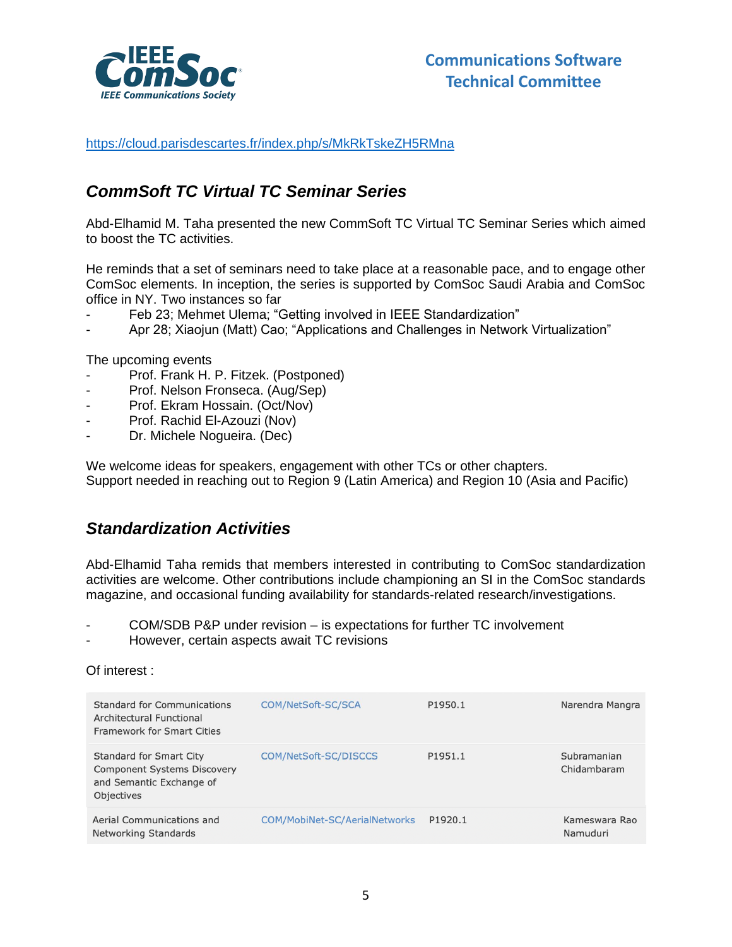

<https://cloud.parisdescartes.fr/index.php/s/MkRkTskeZH5RMna>

## *CommSoft TC Virtual TC Seminar Series*

Abd-Elhamid M. Taha presented the new CommSoft TC Virtual TC Seminar Series which aimed to boost the TC activities.

He reminds that a set of seminars need to take place at a reasonable pace, and to engage other ComSoc elements. In inception, the series is supported by ComSoc Saudi Arabia and ComSoc office in NY. Two instances so far

- Feb 23; Mehmet Ulema; "Getting involved in IEEE Standardization"
- Apr 28; Xiaojun (Matt) Cao; "Applications and Challenges in Network Virtualization"

The upcoming events

- Prof. Frank H. P. Fitzek. (Postponed)
- Prof. Nelson Fronseca. (Aug/Sep)
- Prof. Ekram Hossain. (Oct/Nov)
- Prof. Rachid El-Azouzi (Nov)
- Dr. Michele Nogueira. (Dec)

We welcome ideas for speakers, engagement with other TCs or other chapters. Support needed in reaching out to Region 9 (Latin America) and Region 10 (Asia and Pacific)

## *Standardization Activities*

Abd-Elhamid Taha remids that members interested in contributing to ComSoc standardization activities are welcome. Other contributions include championing an SI in the ComSoc standards magazine, and occasional funding availability for standards-related research/investigations.

- COM/SDB P&P under revision is expectations for further TC involvement
- However, certain aspects await TC revisions

### Of interest :

| Standard for Communications<br>Architectural Functional<br><b>Framework for Smart Cities</b>                   | COM/NetSoft-SC/SCA            | P1950.1             | Narendra Mangra            |  |
|----------------------------------------------------------------------------------------------------------------|-------------------------------|---------------------|----------------------------|--|
| Standard for Smart City<br><b>Component Systems Discovery</b><br>and Semantic Exchange of<br><b>Objectives</b> | COM/NetSoft-SC/DISCCS         | P1951.1             | Subramanian<br>Chidambaram |  |
| Aerial Communications and<br>Networking Standards                                                              | COM/MobiNet-SC/AerialNetworks | P <sub>1920.1</sub> | Kameswara Rao<br>Namuduri  |  |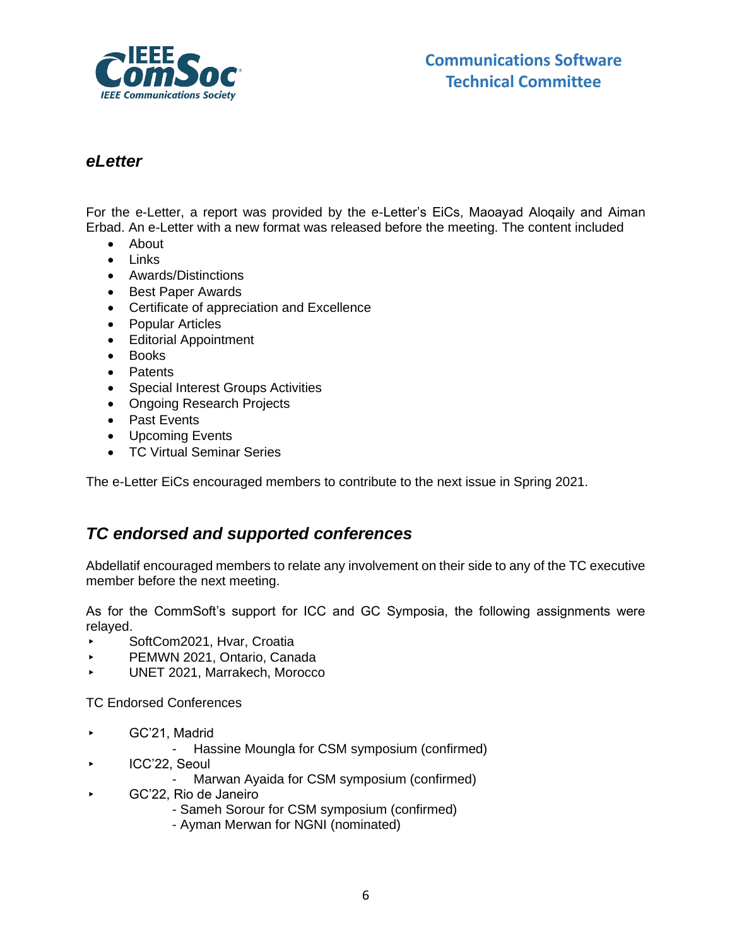

### *eLetter*

For the e-Letter, a report was provided by the e-Letter's EiCs, Maoayad Aloqaily and Aiman Erbad. An e-Letter with a new format was released before the meeting. The content included

- About
- Links
- Awards/Distinctions
- Best Paper Awards
- Certificate of appreciation and Excellence
- Popular Articles
- Editorial Appointment
- Books
- Patents
- Special Interest Groups Activities
- Ongoing Research Projects
- Past Events
- Upcoming Events
- TC Virtual Seminar Series

The e-Letter EiCs encouraged members to contribute to the next issue in Spring 2021.

## *TC endorsed and supported conferences*

Abdellatif encouraged members to relate any involvement on their side to any of the TC executive member before the next meeting.

As for the CommSoft's support for ICC and GC Symposia, the following assignments were relayed.

- ▸ SoftCom2021, Hvar, Croatia
- ▸ PEMWN 2021, Ontario, Canada
- ▸ UNET 2021, Marrakech, Morocco

TC Endorsed Conferences

- ▸ GC'21, Madrid
	- Hassine Moungla for CSM symposium (confirmed)
- ▸ ICC'22, Seoul
	- Marwan Ayaida for CSM symposium (confirmed)
- ▸ GC'22, Rio de Janeiro
	- Sameh Sorour for CSM symposium (confirmed)
	- Ayman Merwan for NGNI (nominated)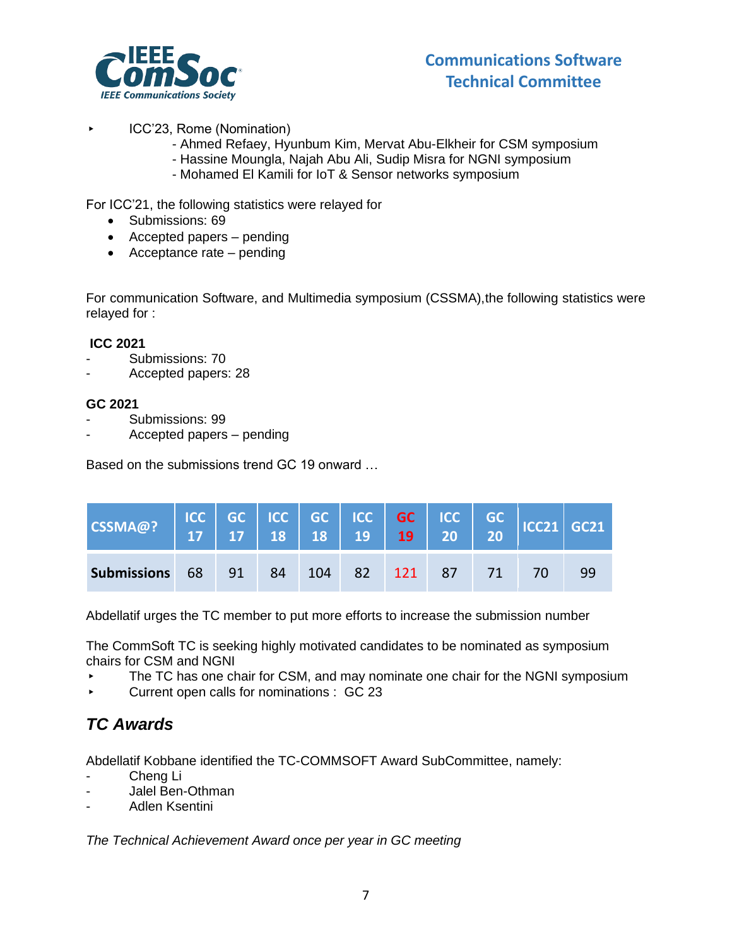

- ▸ ICC'23, Rome (Nomination)
	- Ahmed Refaey, Hyunbum Kim, Mervat Abu-Elkheir for CSM symposium
	- Hassine Moungla, Najah Abu Ali, Sudip Misra for NGNI symposium
	- Mohamed El Kamili for IoT & Sensor networks symposium

For ICC'21, the following statistics were relayed for

- Submissions: 69
- Accepted papers pending
- Acceptance rate pending

For communication Software, and Multimedia symposium (CSSMA),the following statistics were relayed for :

### **ICC 2021**

- Submissions: 70
- Accepted papers: 28

### **GC 2021**

- Submissions: 99
- Accepted papers pending

Based on the submissions trend GC 19 onward …

| CSSMA@?                                      |  |  |  |  |    |
|----------------------------------------------|--|--|--|--|----|
| <b>Submissions</b> 68 91 84 104 82 121 87 71 |  |  |  |  | 99 |

Abdellatif urges the TC member to put more efforts to increase the submission number

The CommSoft TC is seeking highly motivated candidates to be nominated as symposium chairs for CSM and NGNI

- The TC has one chair for CSM, and may nominate one chair for the NGNI symposium
- ▸ Current open calls for nominations : GC 23

## *TC Awards*

Abdellatif Kobbane identified the TC-COMMSOFT Award SubCommittee, namely:

- Cheng Li
- Jalel Ben-Othman
- Adlen Ksentini

*The Technical Achievement Award once per year in GC meeting*